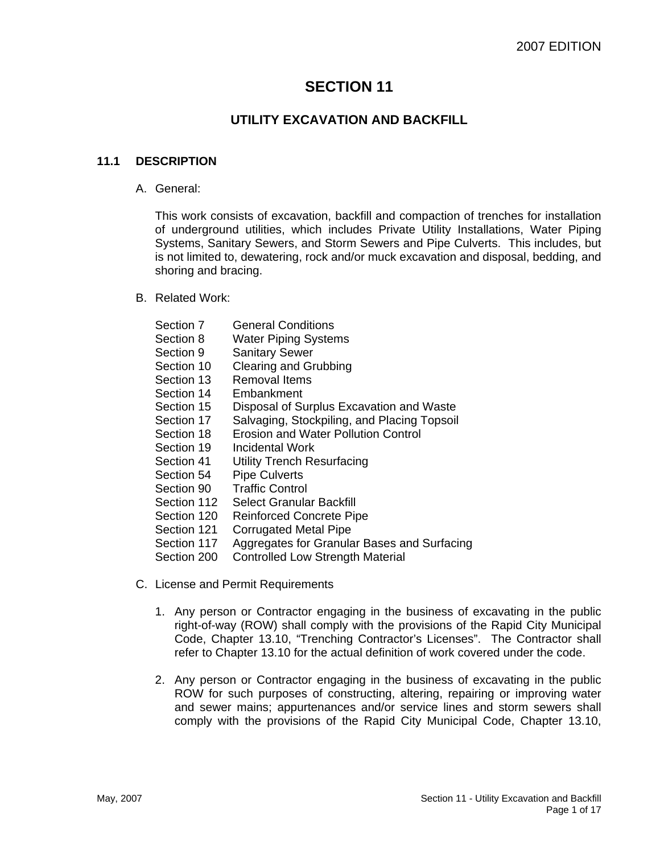# **SECTION 11**

# **UTILITY EXCAVATION AND BACKFILL**

#### **11.1 DESCRIPTION**

A. General:

This work consists of excavation, backfill and compaction of trenches for installation of underground utilities, which includes Private Utility Installations, Water Piping Systems, Sanitary Sewers, and Storm Sewers and Pipe Culverts. This includes, but is not limited to, dewatering, rock and/or muck excavation and disposal, bedding, and shoring and bracing.

B. Related Work:

| Section 7   | <b>General Conditions</b>                   |
|-------------|---------------------------------------------|
| Section 8   | <b>Water Piping Systems</b>                 |
| Section 9   | <b>Sanitary Sewer</b>                       |
| Section 10  | <b>Clearing and Grubbing</b>                |
| Section 13  | Removal Items                               |
| Section 14  | Embankment                                  |
| Section 15  | Disposal of Surplus Excavation and Waste    |
| Section 17  | Salvaging, Stockpiling, and Placing Topsoil |
| Section 18  | Erosion and Water Pollution Control         |
| Section 19  | <b>Incidental Work</b>                      |
| Section 41  | <b>Utility Trench Resurfacing</b>           |
| Section 54  | <b>Pipe Culverts</b>                        |
| Section 90  | <b>Traffic Control</b>                      |
| Section 112 | Select Granular Backfill                    |
| Section 120 | <b>Reinforced Concrete Pipe</b>             |
| Section 121 | Corrugated Metal Pipe                       |
| Section 117 | Aggregates for Granular Bases and Surfacing |
| Section 200 | Controlled Low Strength Material            |
|             |                                             |

- C. License and Permit Requirements
	- 1. Any person or Contractor engaging in the business of excavating in the public right-of-way (ROW) shall comply with the provisions of the Rapid City Municipal Code, Chapter 13.10, "Trenching Contractor's Licenses". The Contractor shall refer to Chapter 13.10 for the actual definition of work covered under the code.
	- 2. Any person or Contractor engaging in the business of excavating in the public ROW for such purposes of constructing, altering, repairing or improving water and sewer mains; appurtenances and/or service lines and storm sewers shall comply with the provisions of the Rapid City Municipal Code, Chapter 13.10,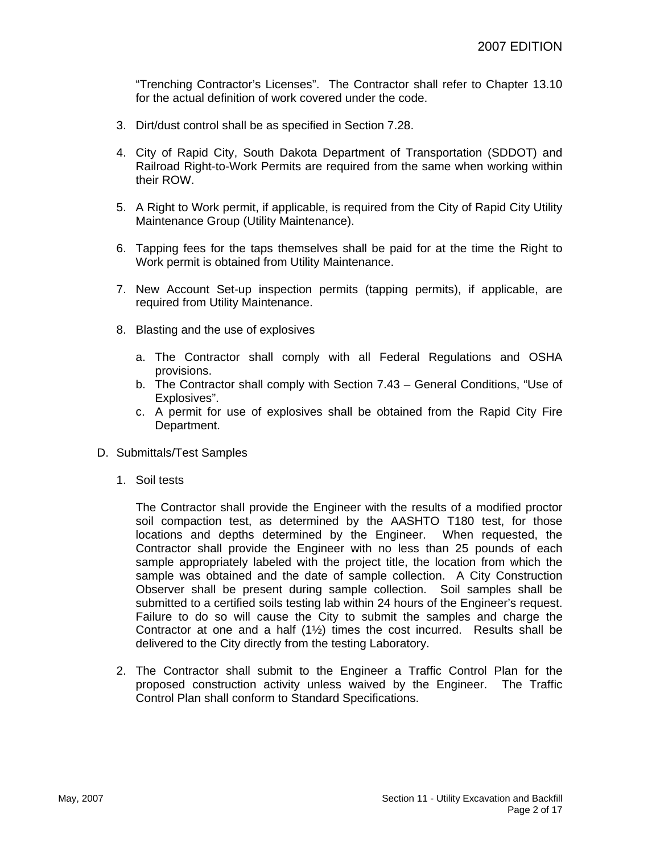"Trenching Contractor's Licenses". The Contractor shall refer to Chapter 13.10 for the actual definition of work covered under the code.

- 3. Dirt/dust control shall be as specified in Section 7.28.
- 4. City of Rapid City, South Dakota Department of Transportation (SDDOT) and Railroad Right-to-Work Permits are required from the same when working within their ROW.
- 5. A Right to Work permit, if applicable, is required from the City of Rapid City Utility Maintenance Group (Utility Maintenance).
- 6. Tapping fees for the taps themselves shall be paid for at the time the Right to Work permit is obtained from Utility Maintenance.
- 7. New Account Set-up inspection permits (tapping permits), if applicable, are required from Utility Maintenance.
- 8. Blasting and the use of explosives
	- a. The Contractor shall comply with all Federal Regulations and OSHA provisions.
	- b. The Contractor shall comply with Section 7.43 General Conditions, "Use of Explosives".
	- c. A permit for use of explosives shall be obtained from the Rapid City Fire Department.
- D. Submittals/Test Samples
	- 1. Soil tests

The Contractor shall provide the Engineer with the results of a modified proctor soil compaction test, as determined by the AASHTO T180 test, for those locations and depths determined by the Engineer. When requested, the Contractor shall provide the Engineer with no less than 25 pounds of each sample appropriately labeled with the project title, the location from which the sample was obtained and the date of sample collection. A City Construction Observer shall be present during sample collection. Soil samples shall be submitted to a certified soils testing lab within 24 hours of the Engineer's request. Failure to do so will cause the City to submit the samples and charge the Contractor at one and a half  $(1\frac{1}{2})$  times the cost incurred. Results shall be delivered to the City directly from the testing Laboratory.

2. The Contractor shall submit to the Engineer a Traffic Control Plan for the proposed construction activity unless waived by the Engineer. The Traffic Control Plan shall conform to Standard Specifications.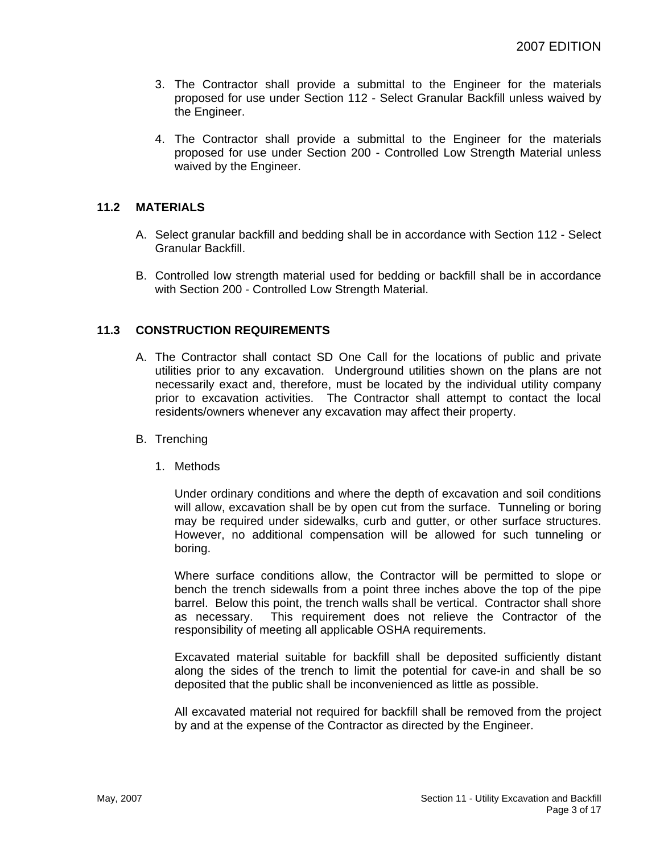- 3. The Contractor shall provide a submittal to the Engineer for the materials proposed for use under Section 112 - Select Granular Backfill unless waived by the Engineer.
- 4. The Contractor shall provide a submittal to the Engineer for the materials proposed for use under Section 200 - Controlled Low Strength Material unless waived by the Engineer.

#### **11.2 MATERIALS**

- A. Select granular backfill and bedding shall be in accordance with Section 112 Select Granular Backfill.
- B. Controlled low strength material used for bedding or backfill shall be in accordance with Section 200 - Controlled Low Strength Material.

#### **11.3 CONSTRUCTION REQUIREMENTS**

- A. The Contractor shall contact SD One Call for the locations of public and private utilities prior to any excavation. Underground utilities shown on the plans are not necessarily exact and, therefore, must be located by the individual utility company prior to excavation activities. The Contractor shall attempt to contact the local residents/owners whenever any excavation may affect their property.
- B. Trenching
	- 1. Methods

Under ordinary conditions and where the depth of excavation and soil conditions will allow, excavation shall be by open cut from the surface. Tunneling or boring may be required under sidewalks, curb and gutter, or other surface structures. However, no additional compensation will be allowed for such tunneling or boring.

Where surface conditions allow, the Contractor will be permitted to slope or bench the trench sidewalls from a point three inches above the top of the pipe barrel. Below this point, the trench walls shall be vertical. Contractor shall shore as necessary. This requirement does not relieve the Contractor of the responsibility of meeting all applicable OSHA requirements.

Excavated material suitable for backfill shall be deposited sufficiently distant along the sides of the trench to limit the potential for cave-in and shall be so deposited that the public shall be inconvenienced as little as possible.

All excavated material not required for backfill shall be removed from the project by and at the expense of the Contractor as directed by the Engineer.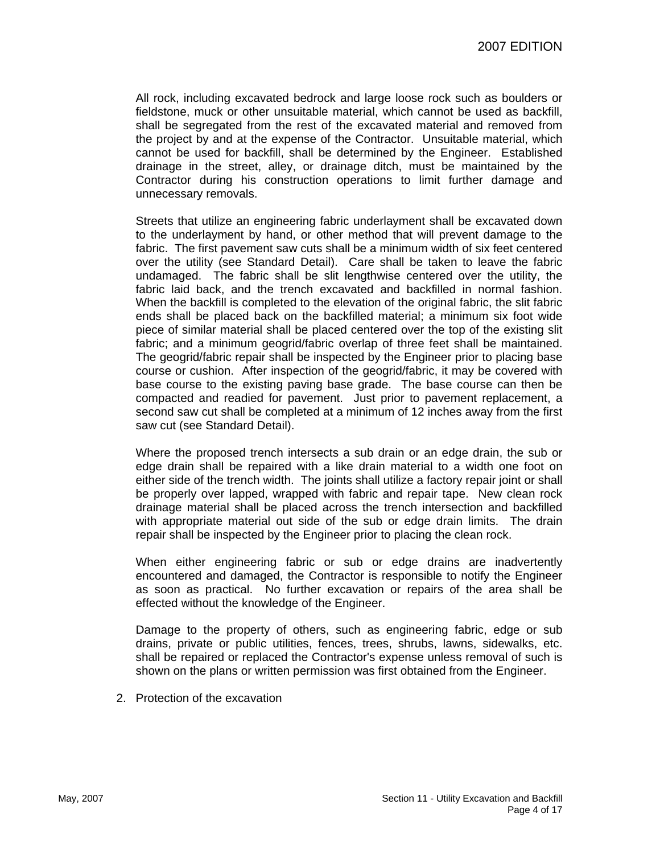All rock, including excavated bedrock and large loose rock such as boulders or fieldstone, muck or other unsuitable material, which cannot be used as backfill, shall be segregated from the rest of the excavated material and removed from the project by and at the expense of the Contractor. Unsuitable material, which cannot be used for backfill, shall be determined by the Engineer. Established drainage in the street, alley, or drainage ditch, must be maintained by the Contractor during his construction operations to limit further damage and unnecessary removals.

Streets that utilize an engineering fabric underlayment shall be excavated down to the underlayment by hand, or other method that will prevent damage to the fabric. The first pavement saw cuts shall be a minimum width of six feet centered over the utility (see Standard Detail). Care shall be taken to leave the fabric undamaged. The fabric shall be slit lengthwise centered over the utility, the fabric laid back, and the trench excavated and backfilled in normal fashion. When the backfill is completed to the elevation of the original fabric, the slit fabric ends shall be placed back on the backfilled material; a minimum six foot wide piece of similar material shall be placed centered over the top of the existing slit fabric; and a minimum geogrid/fabric overlap of three feet shall be maintained. The geogrid/fabric repair shall be inspected by the Engineer prior to placing base course or cushion. After inspection of the geogrid/fabric, it may be covered with base course to the existing paving base grade. The base course can then be compacted and readied for pavement. Just prior to pavement replacement, a second saw cut shall be completed at a minimum of 12 inches away from the first saw cut (see Standard Detail).

Where the proposed trench intersects a sub drain or an edge drain, the sub or edge drain shall be repaired with a like drain material to a width one foot on either side of the trench width. The joints shall utilize a factory repair joint or shall be properly over lapped, wrapped with fabric and repair tape. New clean rock drainage material shall be placed across the trench intersection and backfilled with appropriate material out side of the sub or edge drain limits. The drain repair shall be inspected by the Engineer prior to placing the clean rock.

When either engineering fabric or sub or edge drains are inadvertently encountered and damaged, the Contractor is responsible to notify the Engineer as soon as practical. No further excavation or repairs of the area shall be effected without the knowledge of the Engineer.

Damage to the property of others, such as engineering fabric, edge or sub drains, private or public utilities, fences, trees, shrubs, lawns, sidewalks, etc. shall be repaired or replaced the Contractor's expense unless removal of such is shown on the plans or written permission was first obtained from the Engineer.

2. Protection of the excavation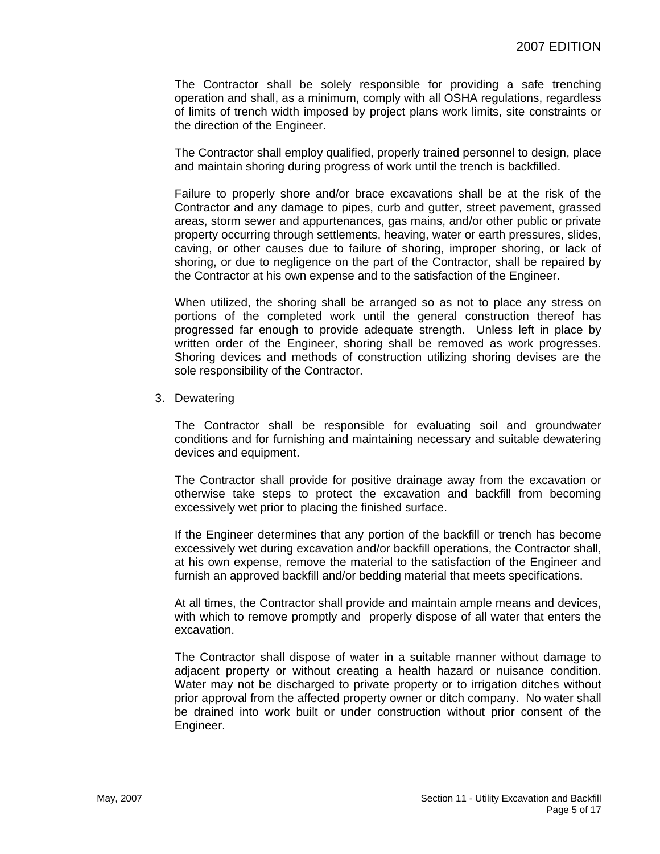The Contractor shall be solely responsible for providing a safe trenching operation and shall, as a minimum, comply with all OSHA regulations, regardless of limits of trench width imposed by project plans work limits, site constraints or the direction of the Engineer.

The Contractor shall employ qualified, properly trained personnel to design, place and maintain shoring during progress of work until the trench is backfilled.

Failure to properly shore and/or brace excavations shall be at the risk of the Contractor and any damage to pipes, curb and gutter, street pavement, grassed areas, storm sewer and appurtenances, gas mains, and/or other public or private property occurring through settlements, heaving, water or earth pressures, slides, caving, or other causes due to failure of shoring, improper shoring, or lack of shoring, or due to negligence on the part of the Contractor, shall be repaired by the Contractor at his own expense and to the satisfaction of the Engineer.

When utilized, the shoring shall be arranged so as not to place any stress on portions of the completed work until the general construction thereof has progressed far enough to provide adequate strength. Unless left in place by written order of the Engineer, shoring shall be removed as work progresses. Shoring devices and methods of construction utilizing shoring devises are the sole responsibility of the Contractor.

3. Dewatering

The Contractor shall be responsible for evaluating soil and groundwater conditions and for furnishing and maintaining necessary and suitable dewatering devices and equipment.

The Contractor shall provide for positive drainage away from the excavation or otherwise take steps to protect the excavation and backfill from becoming excessively wet prior to placing the finished surface.

If the Engineer determines that any portion of the backfill or trench has become excessively wet during excavation and/or backfill operations, the Contractor shall, at his own expense, remove the material to the satisfaction of the Engineer and furnish an approved backfill and/or bedding material that meets specifications.

At all times, the Contractor shall provide and maintain ample means and devices, with which to remove promptly and properly dispose of all water that enters the excavation.

The Contractor shall dispose of water in a suitable manner without damage to adjacent property or without creating a health hazard or nuisance condition. Water may not be discharged to private property or to irrigation ditches without prior approval from the affected property owner or ditch company. No water shall be drained into work built or under construction without prior consent of the Engineer.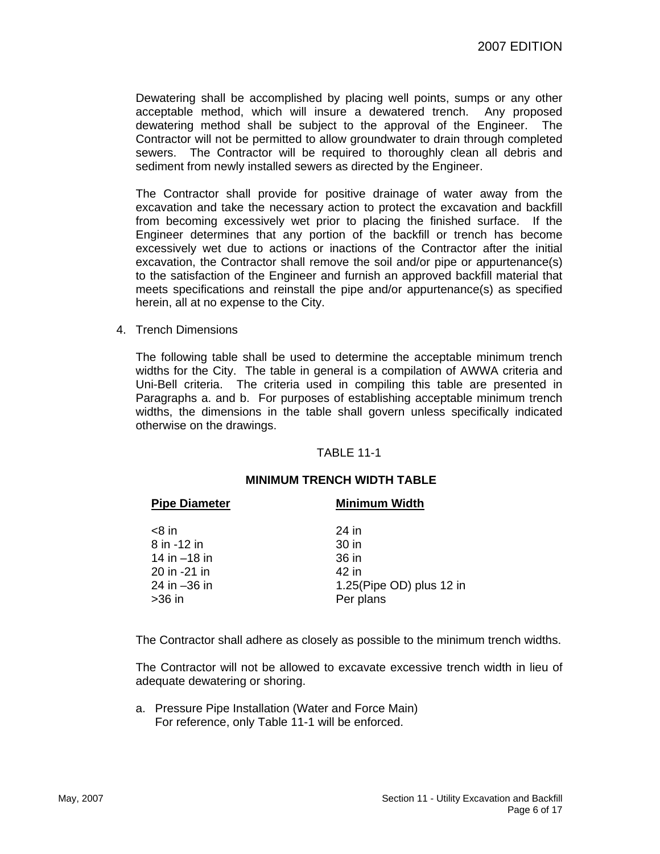Dewatering shall be accomplished by placing well points, sumps or any other acceptable method, which will insure a dewatered trench. Any proposed dewatering method shall be subject to the approval of the Engineer. The Contractor will not be permitted to allow groundwater to drain through completed sewers. The Contractor will be required to thoroughly clean all debris and sediment from newly installed sewers as directed by the Engineer.

The Contractor shall provide for positive drainage of water away from the excavation and take the necessary action to protect the excavation and backfill from becoming excessively wet prior to placing the finished surface. If the Engineer determines that any portion of the backfill or trench has become excessively wet due to actions or inactions of the Contractor after the initial excavation, the Contractor shall remove the soil and/or pipe or appurtenance(s) to the satisfaction of the Engineer and furnish an approved backfill material that meets specifications and reinstall the pipe and/or appurtenance(s) as specified herein, all at no expense to the City.

4. Trench Dimensions

The following table shall be used to determine the acceptable minimum trench widths for the City. The table in general is a compilation of AWWA criteria and Uni-Bell criteria. The criteria used in compiling this table are presented in Paragraphs a. and b. For purposes of establishing acceptable minimum trench widths, the dimensions in the table shall govern unless specifically indicated otherwise on the drawings.

#### TABLE 11-1

#### **MINIMUM TRENCH WIDTH TABLE**

| <b>Pipe Diameter</b> | <b>Minimum Width</b>     |  |  |
|----------------------|--------------------------|--|--|
| <8 in                | 24 in                    |  |  |
| 8 in -12 in          | 30 in                    |  |  |
| 14 in -18 in         | 36 in                    |  |  |
| 20 in -21 in         | 42 in                    |  |  |
| 24 in –36 in         | 1.25(Pipe OD) plus 12 in |  |  |
| >36 in               | Per plans                |  |  |
|                      |                          |  |  |

The Contractor shall adhere as closely as possible to the minimum trench widths.

The Contractor will not be allowed to excavate excessive trench width in lieu of adequate dewatering or shoring.

a. Pressure Pipe Installation (Water and Force Main) For reference, only Table 11-1 will be enforced.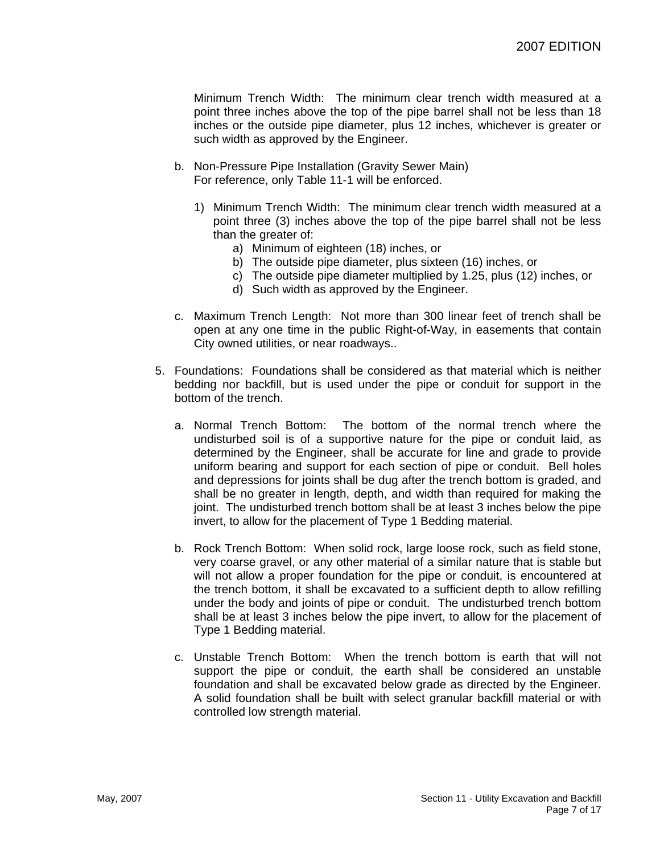Minimum Trench Width: The minimum clear trench width measured at a point three inches above the top of the pipe barrel shall not be less than 18 inches or the outside pipe diameter, plus 12 inches, whichever is greater or such width as approved by the Engineer.

- b. Non-Pressure Pipe Installation (Gravity Sewer Main) For reference, only Table 11-1 will be enforced.
	- 1) Minimum Trench Width: The minimum clear trench width measured at a point three (3) inches above the top of the pipe barrel shall not be less than the greater of:
		- a) Minimum of eighteen (18) inches, or
		- b) The outside pipe diameter, plus sixteen (16) inches, or
		- c) The outside pipe diameter multiplied by 1.25, plus (12) inches, or
		- d) Such width as approved by the Engineer.
- c. Maximum Trench Length: Not more than 300 linear feet of trench shall be open at any one time in the public Right-of-Way, in easements that contain City owned utilities, or near roadways..
- 5. Foundations: Foundations shall be considered as that material which is neither bedding nor backfill, but is used under the pipe or conduit for support in the bottom of the trench.
	- a. Normal Trench Bottom: The bottom of the normal trench where the undisturbed soil is of a supportive nature for the pipe or conduit laid, as determined by the Engineer, shall be accurate for line and grade to provide uniform bearing and support for each section of pipe or conduit. Bell holes and depressions for joints shall be dug after the trench bottom is graded, and shall be no greater in length, depth, and width than required for making the joint. The undisturbed trench bottom shall be at least 3 inches below the pipe invert, to allow for the placement of Type 1 Bedding material.
	- b. Rock Trench Bottom: When solid rock, large loose rock, such as field stone, very coarse gravel, or any other material of a similar nature that is stable but will not allow a proper foundation for the pipe or conduit, is encountered at the trench bottom, it shall be excavated to a sufficient depth to allow refilling under the body and joints of pipe or conduit. The undisturbed trench bottom shall be at least 3 inches below the pipe invert, to allow for the placement of Type 1 Bedding material.
	- c. Unstable Trench Bottom: When the trench bottom is earth that will not support the pipe or conduit, the earth shall be considered an unstable foundation and shall be excavated below grade as directed by the Engineer. A solid foundation shall be built with select granular backfill material or with controlled low strength material.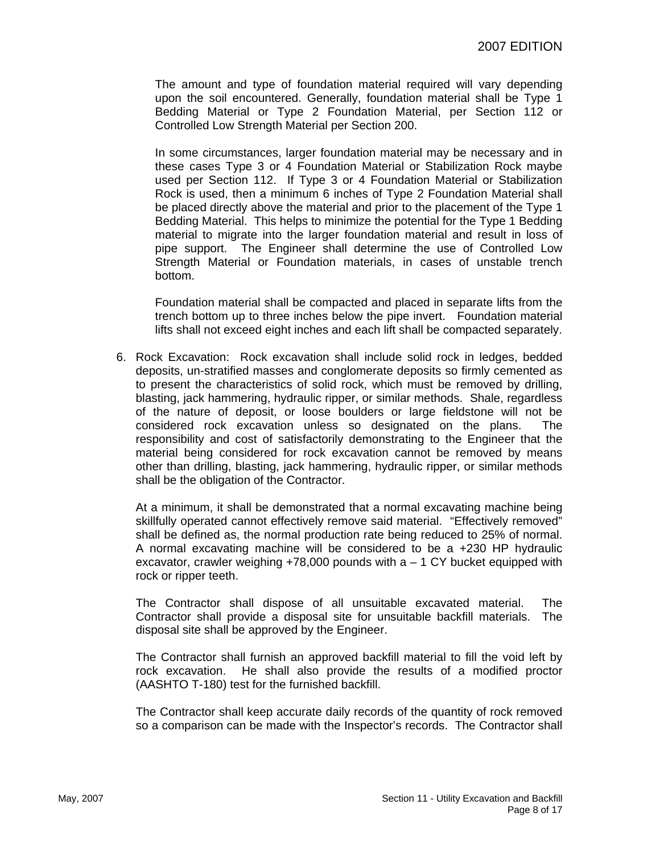The amount and type of foundation material required will vary depending upon the soil encountered. Generally, foundation material shall be Type 1 Bedding Material or Type 2 Foundation Material, per Section 112 or Controlled Low Strength Material per Section 200.

In some circumstances, larger foundation material may be necessary and in these cases Type 3 or 4 Foundation Material or Stabilization Rock maybe used per Section 112. If Type 3 or 4 Foundation Material or Stabilization Rock is used, then a minimum 6 inches of Type 2 Foundation Material shall be placed directly above the material and prior to the placement of the Type 1 Bedding Material. This helps to minimize the potential for the Type 1 Bedding material to migrate into the larger foundation material and result in loss of pipe support. The Engineer shall determine the use of Controlled Low Strength Material or Foundation materials, in cases of unstable trench bottom.

Foundation material shall be compacted and placed in separate lifts from the trench bottom up to three inches below the pipe invert. Foundation material lifts shall not exceed eight inches and each lift shall be compacted separately.

6. Rock Excavation: Rock excavation shall include solid rock in ledges, bedded deposits, un-stratified masses and conglomerate deposits so firmly cemented as to present the characteristics of solid rock, which must be removed by drilling, blasting, jack hammering, hydraulic ripper, or similar methods. Shale, regardless of the nature of deposit, or loose boulders or large fieldstone will not be considered rock excavation unless so designated on the plans. The responsibility and cost of satisfactorily demonstrating to the Engineer that the material being considered for rock excavation cannot be removed by means other than drilling, blasting, jack hammering, hydraulic ripper, or similar methods shall be the obligation of the Contractor.

At a minimum, it shall be demonstrated that a normal excavating machine being skillfully operated cannot effectively remove said material. "Effectively removed" shall be defined as, the normal production rate being reduced to 25% of normal. A normal excavating machine will be considered to be a +230 HP hydraulic excavator, crawler weighing  $+78,000$  pounds with  $a - 1$  CY bucket equipped with rock or ripper teeth.

The Contractor shall dispose of all unsuitable excavated material. The Contractor shall provide a disposal site for unsuitable backfill materials. The disposal site shall be approved by the Engineer.

The Contractor shall furnish an approved backfill material to fill the void left by rock excavation. He shall also provide the results of a modified proctor (AASHTO T-180) test for the furnished backfill.

The Contractor shall keep accurate daily records of the quantity of rock removed so a comparison can be made with the Inspector's records. The Contractor shall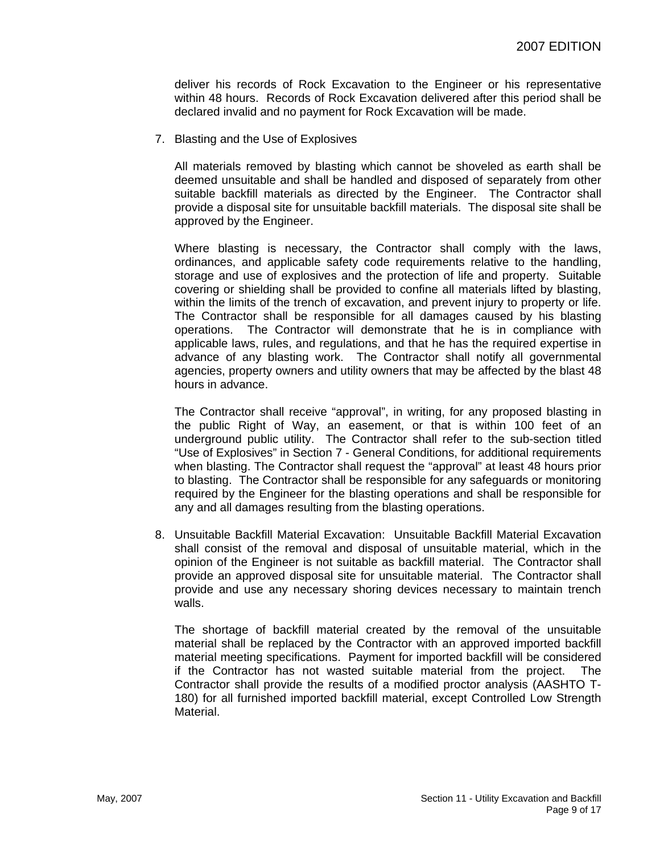deliver his records of Rock Excavation to the Engineer or his representative within 48 hours. Records of Rock Excavation delivered after this period shall be declared invalid and no payment for Rock Excavation will be made.

7. Blasting and the Use of Explosives

All materials removed by blasting which cannot be shoveled as earth shall be deemed unsuitable and shall be handled and disposed of separately from other suitable backfill materials as directed by the Engineer. The Contractor shall provide a disposal site for unsuitable backfill materials. The disposal site shall be approved by the Engineer.

Where blasting is necessary, the Contractor shall comply with the laws, ordinances, and applicable safety code requirements relative to the handling, storage and use of explosives and the protection of life and property. Suitable covering or shielding shall be provided to confine all materials lifted by blasting, within the limits of the trench of excavation, and prevent injury to property or life. The Contractor shall be responsible for all damages caused by his blasting operations. The Contractor will demonstrate that he is in compliance with applicable laws, rules, and regulations, and that he has the required expertise in advance of any blasting work. The Contractor shall notify all governmental agencies, property owners and utility owners that may be affected by the blast 48 hours in advance.

The Contractor shall receive "approval", in writing, for any proposed blasting in the public Right of Way, an easement, or that is within 100 feet of an underground public utility. The Contractor shall refer to the sub-section titled "Use of Explosives" in Section 7 - General Conditions, for additional requirements when blasting. The Contractor shall request the "approval" at least 48 hours prior to blasting. The Contractor shall be responsible for any safeguards or monitoring required by the Engineer for the blasting operations and shall be responsible for any and all damages resulting from the blasting operations.

8. Unsuitable Backfill Material Excavation: Unsuitable Backfill Material Excavation shall consist of the removal and disposal of unsuitable material, which in the opinion of the Engineer is not suitable as backfill material. The Contractor shall provide an approved disposal site for unsuitable material. The Contractor shall provide and use any necessary shoring devices necessary to maintain trench walls.

The shortage of backfill material created by the removal of the unsuitable material shall be replaced by the Contractor with an approved imported backfill material meeting specifications. Payment for imported backfill will be considered if the Contractor has not wasted suitable material from the project. The Contractor shall provide the results of a modified proctor analysis (AASHTO T-180) for all furnished imported backfill material, except Controlled Low Strength Material.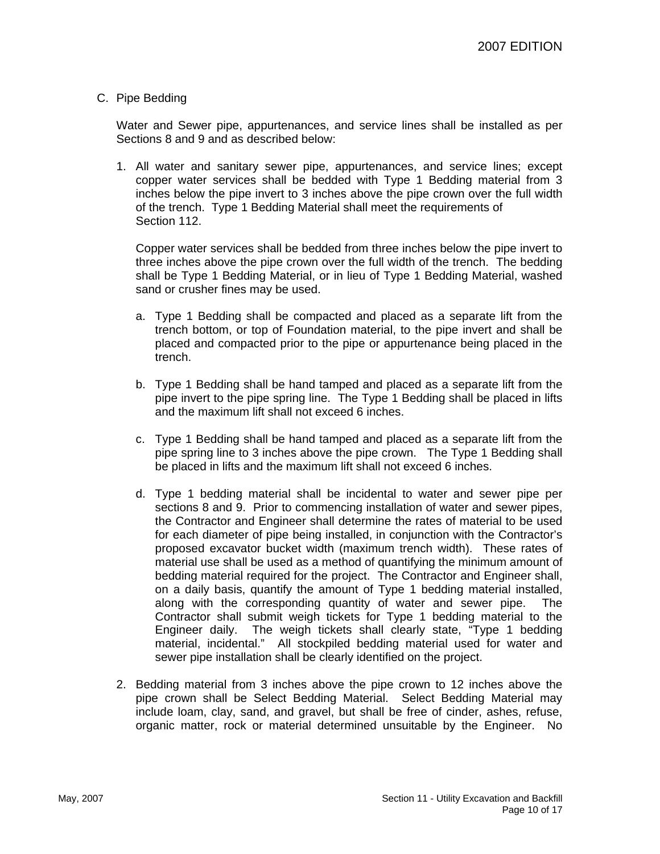#### C. Pipe Bedding

Water and Sewer pipe, appurtenances, and service lines shall be installed as per Sections 8 and 9 and as described below:

1. All water and sanitary sewer pipe, appurtenances, and service lines; except copper water services shall be bedded with Type 1 Bedding material from 3 inches below the pipe invert to 3 inches above the pipe crown over the full width of the trench. Type 1 Bedding Material shall meet the requirements of Section 112.

Copper water services shall be bedded from three inches below the pipe invert to three inches above the pipe crown over the full width of the trench. The bedding shall be Type 1 Bedding Material, or in lieu of Type 1 Bedding Material, washed sand or crusher fines may be used.

- a. Type 1 Bedding shall be compacted and placed as a separate lift from the trench bottom, or top of Foundation material, to the pipe invert and shall be placed and compacted prior to the pipe or appurtenance being placed in the trench.
- b. Type 1 Bedding shall be hand tamped and placed as a separate lift from the pipe invert to the pipe spring line. The Type 1 Bedding shall be placed in lifts and the maximum lift shall not exceed 6 inches.
- c. Type 1 Bedding shall be hand tamped and placed as a separate lift from the pipe spring line to 3 inches above the pipe crown. The Type 1 Bedding shall be placed in lifts and the maximum lift shall not exceed 6 inches.
- d. Type 1 bedding material shall be incidental to water and sewer pipe per sections 8 and 9. Prior to commencing installation of water and sewer pipes, the Contractor and Engineer shall determine the rates of material to be used for each diameter of pipe being installed, in conjunction with the Contractor's proposed excavator bucket width (maximum trench width). These rates of material use shall be used as a method of quantifying the minimum amount of bedding material required for the project. The Contractor and Engineer shall, on a daily basis, quantify the amount of Type 1 bedding material installed, along with the corresponding quantity of water and sewer pipe. The Contractor shall submit weigh tickets for Type 1 bedding material to the Engineer daily. The weigh tickets shall clearly state, "Type 1 bedding material, incidental." All stockpiled bedding material used for water and sewer pipe installation shall be clearly identified on the project.
- 2. Bedding material from 3 inches above the pipe crown to 12 inches above the pipe crown shall be Select Bedding Material. Select Bedding Material may include loam, clay, sand, and gravel, but shall be free of cinder, ashes, refuse, organic matter, rock or material determined unsuitable by the Engineer. No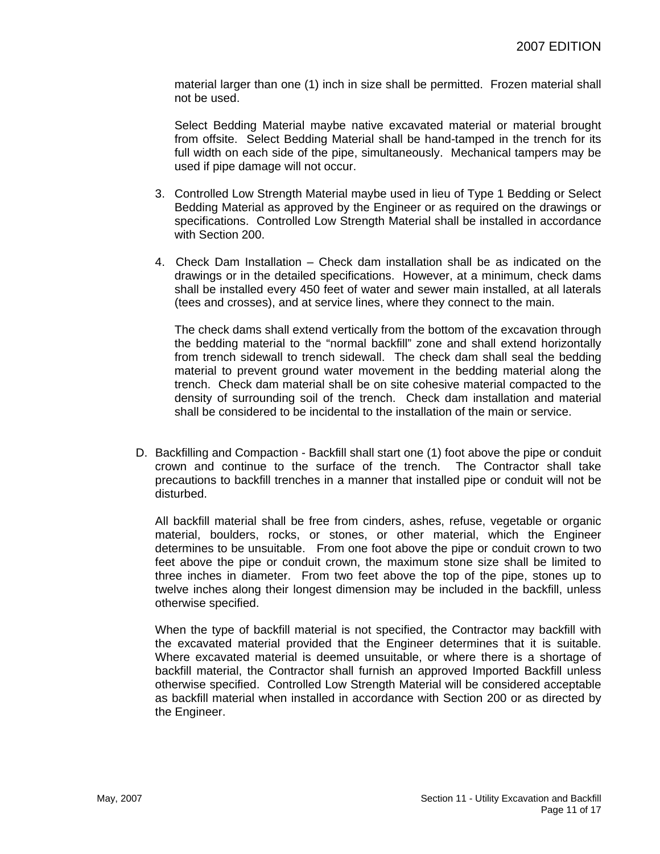material larger than one (1) inch in size shall be permitted. Frozen material shall not be used.

Select Bedding Material maybe native excavated material or material brought from offsite. Select Bedding Material shall be hand-tamped in the trench for its full width on each side of the pipe, simultaneously. Mechanical tampers may be used if pipe damage will not occur.

- 3. Controlled Low Strength Material maybe used in lieu of Type 1 Bedding or Select Bedding Material as approved by the Engineer or as required on the drawings or specifications. Controlled Low Strength Material shall be installed in accordance with Section 200.
- 4. Check Dam Installation Check dam installation shall be as indicated on the drawings or in the detailed specifications. However, at a minimum, check dams shall be installed every 450 feet of water and sewer main installed, at all laterals (tees and crosses), and at service lines, where they connect to the main.

The check dams shall extend vertically from the bottom of the excavation through the bedding material to the "normal backfill" zone and shall extend horizontally from trench sidewall to trench sidewall. The check dam shall seal the bedding material to prevent ground water movement in the bedding material along the trench. Check dam material shall be on site cohesive material compacted to the density of surrounding soil of the trench. Check dam installation and material shall be considered to be incidental to the installation of the main or service.

D. Backfilling and Compaction - Backfill shall start one (1) foot above the pipe or conduit crown and continue to the surface of the trench. The Contractor shall take precautions to backfill trenches in a manner that installed pipe or conduit will not be disturbed.

All backfill material shall be free from cinders, ashes, refuse, vegetable or organic material, boulders, rocks, or stones, or other material, which the Engineer determines to be unsuitable. From one foot above the pipe or conduit crown to two feet above the pipe or conduit crown, the maximum stone size shall be limited to three inches in diameter. From two feet above the top of the pipe, stones up to twelve inches along their longest dimension may be included in the backfill, unless otherwise specified.

When the type of backfill material is not specified, the Contractor may backfill with the excavated material provided that the Engineer determines that it is suitable. Where excavated material is deemed unsuitable, or where there is a shortage of backfill material, the Contractor shall furnish an approved Imported Backfill unless otherwise specified. Controlled Low Strength Material will be considered acceptable as backfill material when installed in accordance with Section 200 or as directed by the Engineer.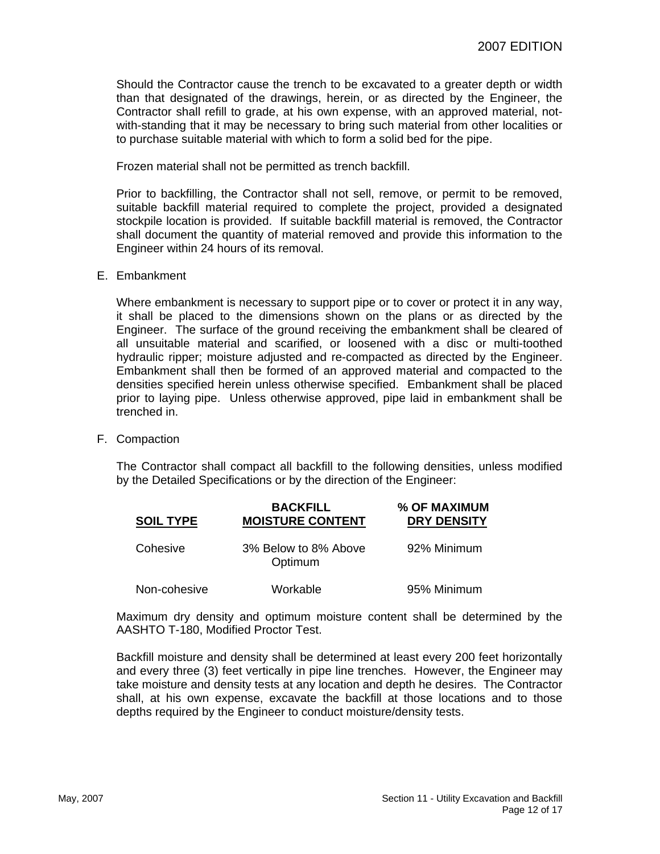Should the Contractor cause the trench to be excavated to a greater depth or width than that designated of the drawings, herein, or as directed by the Engineer, the Contractor shall refill to grade, at his own expense, with an approved material, notwith-standing that it may be necessary to bring such material from other localities or to purchase suitable material with which to form a solid bed for the pipe.

Frozen material shall not be permitted as trench backfill.

Prior to backfilling, the Contractor shall not sell, remove, or permit to be removed, suitable backfill material required to complete the project, provided a designated stockpile location is provided. If suitable backfill material is removed, the Contractor shall document the quantity of material removed and provide this information to the Engineer within 24 hours of its removal.

E. Embankment

Where embankment is necessary to support pipe or to cover or protect it in any way, it shall be placed to the dimensions shown on the plans or as directed by the Engineer. The surface of the ground receiving the embankment shall be cleared of all unsuitable material and scarified, or loosened with a disc or multi-toothed hydraulic ripper; moisture adjusted and re-compacted as directed by the Engineer. Embankment shall then be formed of an approved material and compacted to the densities specified herein unless otherwise specified. Embankment shall be placed prior to laying pipe. Unless otherwise approved, pipe laid in embankment shall be trenched in.

F. Compaction

The Contractor shall compact all backfill to the following densities, unless modified by the Detailed Specifications or by the direction of the Engineer:

| <b>SOIL TYPE</b> | <b>BACKFILL</b><br><b>MOISTURE CONTENT</b> | % OF MAXIMUM<br><b>DRY DENSITY</b> |
|------------------|--------------------------------------------|------------------------------------|
| Cohesive         | 3% Below to 8% Above<br>Optimum            | 92% Minimum                        |
| Non-cohesive     | Workable                                   | 95% Minimum                        |

Maximum dry density and optimum moisture content shall be determined by the AASHTO T-180, Modified Proctor Test.

Backfill moisture and density shall be determined at least every 200 feet horizontally and every three (3) feet vertically in pipe line trenches. However, the Engineer may take moisture and density tests at any location and depth he desires. The Contractor shall, at his own expense, excavate the backfill at those locations and to those depths required by the Engineer to conduct moisture/density tests.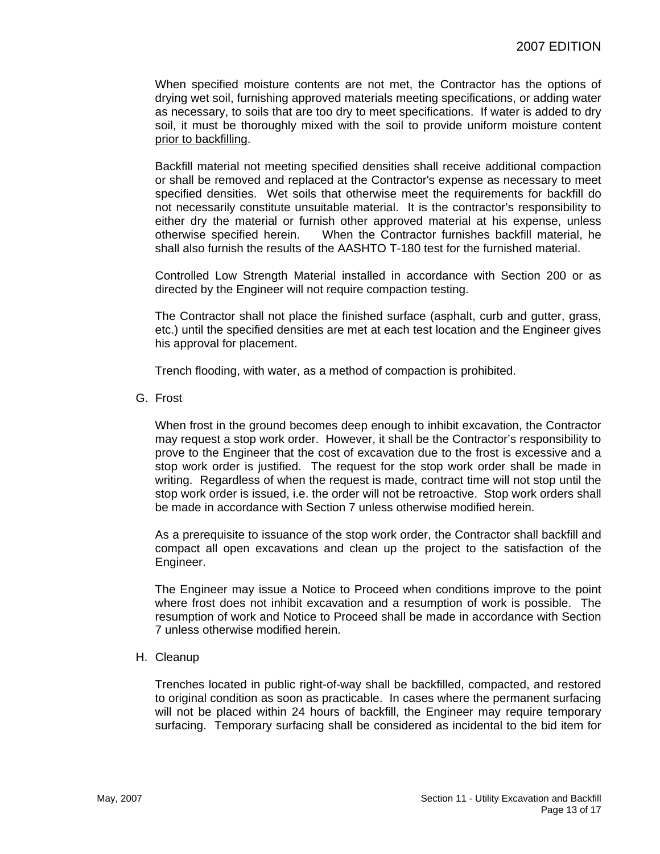When specified moisture contents are not met, the Contractor has the options of drying wet soil, furnishing approved materials meeting specifications, or adding water as necessary, to soils that are too dry to meet specifications. If water is added to dry soil, it must be thoroughly mixed with the soil to provide uniform moisture content prior to backfilling.

Backfill material not meeting specified densities shall receive additional compaction or shall be removed and replaced at the Contractor's expense as necessary to meet specified densities. Wet soils that otherwise meet the requirements for backfill do not necessarily constitute unsuitable material. It is the contractor's responsibility to either dry the material or furnish other approved material at his expense, unless otherwise specified herein. When the Contractor furnishes backfill material, he shall also furnish the results of the AASHTO T-180 test for the furnished material.

Controlled Low Strength Material installed in accordance with Section 200 or as directed by the Engineer will not require compaction testing.

The Contractor shall not place the finished surface (asphalt, curb and gutter, grass, etc.) until the specified densities are met at each test location and the Engineer gives his approval for placement.

Trench flooding, with water, as a method of compaction is prohibited.

G. Frost

When frost in the ground becomes deep enough to inhibit excavation, the Contractor may request a stop work order. However, it shall be the Contractor's responsibility to prove to the Engineer that the cost of excavation due to the frost is excessive and a stop work order is justified. The request for the stop work order shall be made in writing. Regardless of when the request is made, contract time will not stop until the stop work order is issued, i.e. the order will not be retroactive. Stop work orders shall be made in accordance with Section 7 unless otherwise modified herein.

As a prerequisite to issuance of the stop work order, the Contractor shall backfill and compact all open excavations and clean up the project to the satisfaction of the Engineer.

The Engineer may issue a Notice to Proceed when conditions improve to the point where frost does not inhibit excavation and a resumption of work is possible. The resumption of work and Notice to Proceed shall be made in accordance with Section 7 unless otherwise modified herein.

H. Cleanup

Trenches located in public right-of-way shall be backfilled, compacted, and restored to original condition as soon as practicable. In cases where the permanent surfacing will not be placed within 24 hours of backfill, the Engineer may require temporary surfacing. Temporary surfacing shall be considered as incidental to the bid item for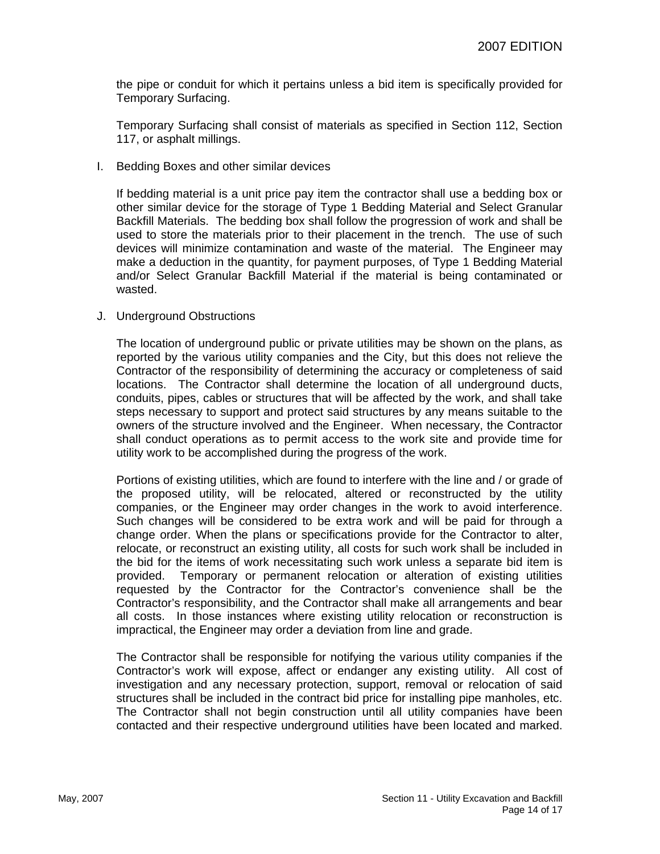the pipe or conduit for which it pertains unless a bid item is specifically provided for Temporary Surfacing.

Temporary Surfacing shall consist of materials as specified in Section 112, Section 117, or asphalt millings.

I. Bedding Boxes and other similar devices

If bedding material is a unit price pay item the contractor shall use a bedding box or other similar device for the storage of Type 1 Bedding Material and Select Granular Backfill Materials. The bedding box shall follow the progression of work and shall be used to store the materials prior to their placement in the trench. The use of such devices will minimize contamination and waste of the material. The Engineer may make a deduction in the quantity, for payment purposes, of Type 1 Bedding Material and/or Select Granular Backfill Material if the material is being contaminated or wasted.

J. Underground Obstructions

The location of underground public or private utilities may be shown on the plans, as reported by the various utility companies and the City, but this does not relieve the Contractor of the responsibility of determining the accuracy or completeness of said locations. The Contractor shall determine the location of all underground ducts, conduits, pipes, cables or structures that will be affected by the work, and shall take steps necessary to support and protect said structures by any means suitable to the owners of the structure involved and the Engineer. When necessary, the Contractor shall conduct operations as to permit access to the work site and provide time for utility work to be accomplished during the progress of the work.

Portions of existing utilities, which are found to interfere with the line and / or grade of the proposed utility, will be relocated, altered or reconstructed by the utility companies, or the Engineer may order changes in the work to avoid interference. Such changes will be considered to be extra work and will be paid for through a change order. When the plans or specifications provide for the Contractor to alter, relocate, or reconstruct an existing utility, all costs for such work shall be included in the bid for the items of work necessitating such work unless a separate bid item is provided. Temporary or permanent relocation or alteration of existing utilities requested by the Contractor for the Contractor's convenience shall be the Contractor's responsibility, and the Contractor shall make all arrangements and bear all costs. In those instances where existing utility relocation or reconstruction is impractical, the Engineer may order a deviation from line and grade.

The Contractor shall be responsible for notifying the various utility companies if the Contractor's work will expose, affect or endanger any existing utility. All cost of investigation and any necessary protection, support, removal or relocation of said structures shall be included in the contract bid price for installing pipe manholes, etc. The Contractor shall not begin construction until all utility companies have been contacted and their respective underground utilities have been located and marked.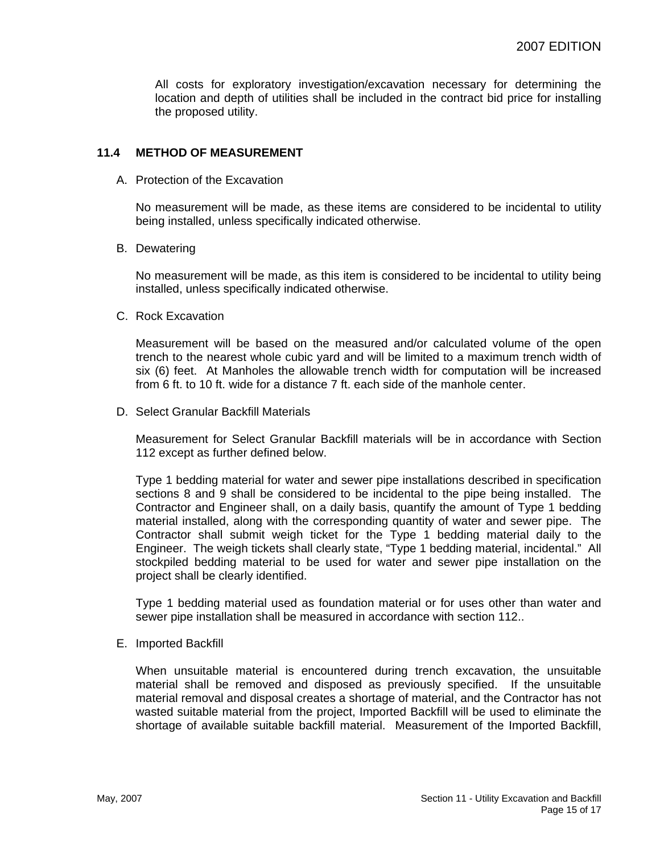All costs for exploratory investigation/excavation necessary for determining the location and depth of utilities shall be included in the contract bid price for installing the proposed utility.

#### **11.4 METHOD OF MEASUREMENT**

A. Protection of the Excavation

No measurement will be made, as these items are considered to be incidental to utility being installed, unless specifically indicated otherwise.

B. Dewatering

No measurement will be made, as this item is considered to be incidental to utility being installed, unless specifically indicated otherwise.

C. Rock Excavation

Measurement will be based on the measured and/or calculated volume of the open trench to the nearest whole cubic yard and will be limited to a maximum trench width of six (6) feet. At Manholes the allowable trench width for computation will be increased from 6 ft. to 10 ft. wide for a distance 7 ft. each side of the manhole center.

D. Select Granular Backfill Materials

Measurement for Select Granular Backfill materials will be in accordance with Section 112 except as further defined below.

Type 1 bedding material for water and sewer pipe installations described in specification sections 8 and 9 shall be considered to be incidental to the pipe being installed. The Contractor and Engineer shall, on a daily basis, quantify the amount of Type 1 bedding material installed, along with the corresponding quantity of water and sewer pipe. The Contractor shall submit weigh ticket for the Type 1 bedding material daily to the Engineer. The weigh tickets shall clearly state, "Type 1 bedding material, incidental." All stockpiled bedding material to be used for water and sewer pipe installation on the project shall be clearly identified.

Type 1 bedding material used as foundation material or for uses other than water and sewer pipe installation shall be measured in accordance with section 112..

E. Imported Backfill

When unsuitable material is encountered during trench excavation, the unsuitable material shall be removed and disposed as previously specified. If the unsuitable material removal and disposal creates a shortage of material, and the Contractor has not wasted suitable material from the project, Imported Backfill will be used to eliminate the shortage of available suitable backfill material. Measurement of the Imported Backfill,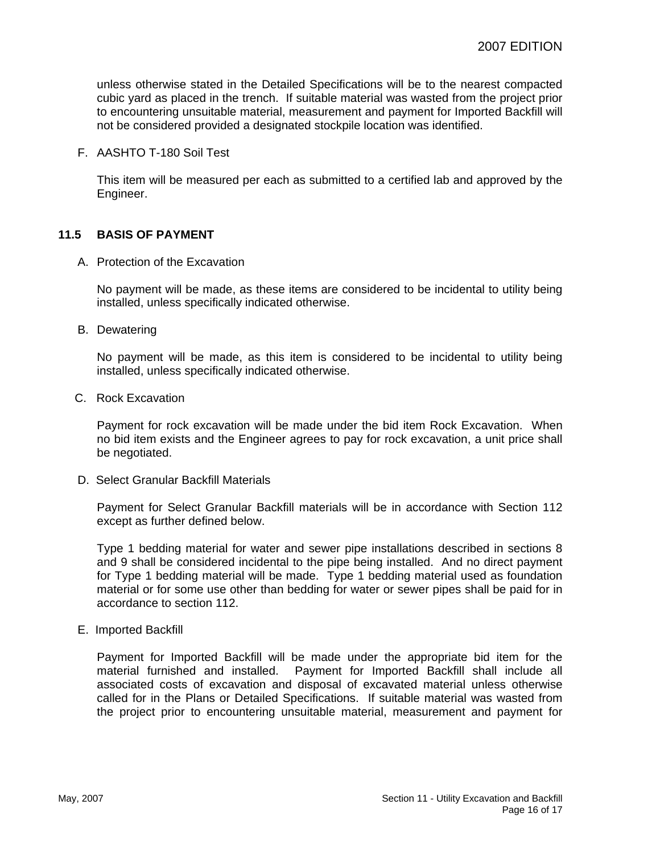unless otherwise stated in the Detailed Specifications will be to the nearest compacted cubic yard as placed in the trench. If suitable material was wasted from the project prior to encountering unsuitable material, measurement and payment for Imported Backfill will not be considered provided a designated stockpile location was identified.

F. AASHTO T-180 Soil Test

This item will be measured per each as submitted to a certified lab and approved by the Engineer.

## **11.5 BASIS OF PAYMENT**

A. Protection of the Excavation

No payment will be made, as these items are considered to be incidental to utility being installed, unless specifically indicated otherwise.

B. Dewatering

No payment will be made, as this item is considered to be incidental to utility being installed, unless specifically indicated otherwise.

C. Rock Excavation

Payment for rock excavation will be made under the bid item Rock Excavation. When no bid item exists and the Engineer agrees to pay for rock excavation, a unit price shall be negotiated.

D. Select Granular Backfill Materials

Payment for Select Granular Backfill materials will be in accordance with Section 112 except as further defined below.

Type 1 bedding material for water and sewer pipe installations described in sections 8 and 9 shall be considered incidental to the pipe being installed. And no direct payment for Type 1 bedding material will be made. Type 1 bedding material used as foundation material or for some use other than bedding for water or sewer pipes shall be paid for in accordance to section 112.

E. Imported Backfill

Payment for Imported Backfill will be made under the appropriate bid item for the material furnished and installed. Payment for Imported Backfill shall include all associated costs of excavation and disposal of excavated material unless otherwise called for in the Plans or Detailed Specifications. If suitable material was wasted from the project prior to encountering unsuitable material, measurement and payment for